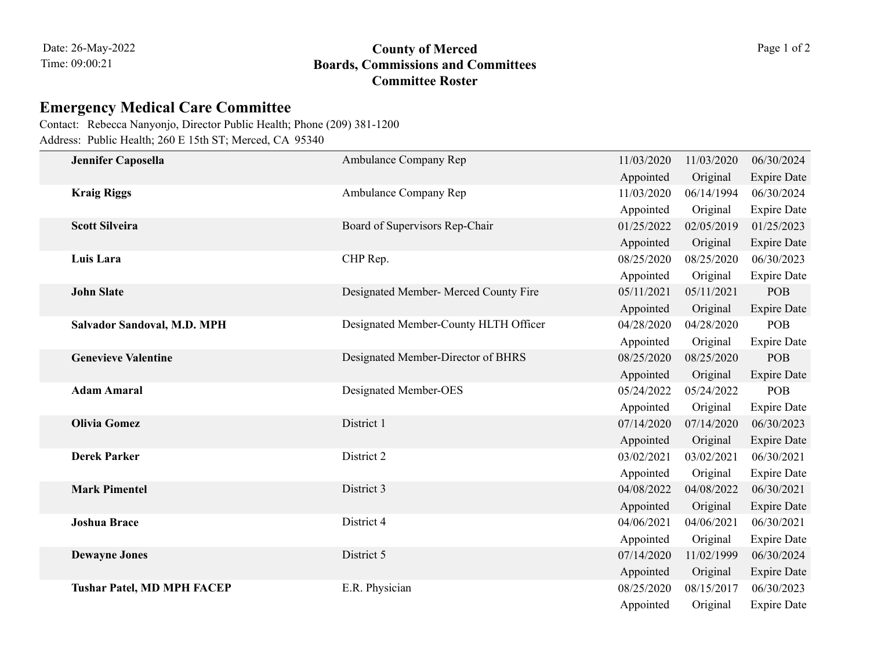## 09:00:21 **Boards, Commissions and Committees County of Merced** Page 1 of 2 **Committee Roster**

## **Emergency Medical Care Committee**

Address: Public Health; 260 E 15th ST; Merced, CA 95340 Contact: Rebecca Nanyonjo, Director Public Health; Phone (209) 381-1200

|  | Jennifer Caposella                | Ambulance Company Rep                 | 11/03/2020 | 11/03/2020 | 06/30/2024         |
|--|-----------------------------------|---------------------------------------|------------|------------|--------------------|
|  |                                   |                                       | Appointed  | Original   | <b>Expire Date</b> |
|  | <b>Kraig Riggs</b>                | Ambulance Company Rep                 | 11/03/2020 | 06/14/1994 | 06/30/2024         |
|  |                                   |                                       | Appointed  | Original   | <b>Expire Date</b> |
|  | <b>Scott Silveira</b>             | Board of Supervisors Rep-Chair        | 01/25/2022 | 02/05/2019 | 01/25/2023         |
|  |                                   |                                       | Appointed  | Original   | <b>Expire Date</b> |
|  | Luis Lara                         | CHP Rep.                              | 08/25/2020 | 08/25/2020 | 06/30/2023         |
|  |                                   |                                       | Appointed  | Original   | <b>Expire Date</b> |
|  | <b>John Slate</b>                 | Designated Member- Merced County Fire | 05/11/2021 | 05/11/2021 | POB                |
|  |                                   |                                       | Appointed  | Original   | <b>Expire Date</b> |
|  | Salvador Sandoval, M.D. MPH       | Designated Member-County HLTH Officer | 04/28/2020 | 04/28/2020 | POB                |
|  |                                   |                                       | Appointed  | Original   | <b>Expire Date</b> |
|  | <b>Genevieve Valentine</b>        | Designated Member-Director of BHRS    | 08/25/2020 | 08/25/2020 | <b>POB</b>         |
|  |                                   |                                       | Appointed  | Original   | <b>Expire Date</b> |
|  | <b>Adam Amaral</b>                | Designated Member-OES                 | 05/24/2022 | 05/24/2022 | POB                |
|  |                                   |                                       | Appointed  | Original   | <b>Expire Date</b> |
|  | <b>Olivia Gomez</b>               | District 1                            | 07/14/2020 | 07/14/2020 | 06/30/2023         |
|  |                                   |                                       | Appointed  | Original   | <b>Expire Date</b> |
|  | <b>Derek Parker</b>               | District 2                            | 03/02/2021 | 03/02/2021 | 06/30/2021         |
|  |                                   |                                       | Appointed  | Original   | <b>Expire Date</b> |
|  | <b>Mark Pimentel</b>              | District 3                            | 04/08/2022 | 04/08/2022 | 06/30/2021         |
|  |                                   |                                       | Appointed  | Original   | <b>Expire Date</b> |
|  | <b>Joshua Brace</b>               | District 4                            | 04/06/2021 | 04/06/2021 | 06/30/2021         |
|  |                                   |                                       | Appointed  | Original   | <b>Expire Date</b> |
|  | <b>Dewayne Jones</b>              | District 5                            | 07/14/2020 | 11/02/1999 | 06/30/2024         |
|  |                                   |                                       | Appointed  | Original   | <b>Expire Date</b> |
|  | <b>Tushar Patel, MD MPH FACEP</b> | E.R. Physician                        | 08/25/2020 | 08/15/2017 | 06/30/2023         |
|  |                                   |                                       | Appointed  | Original   | <b>Expire Date</b> |